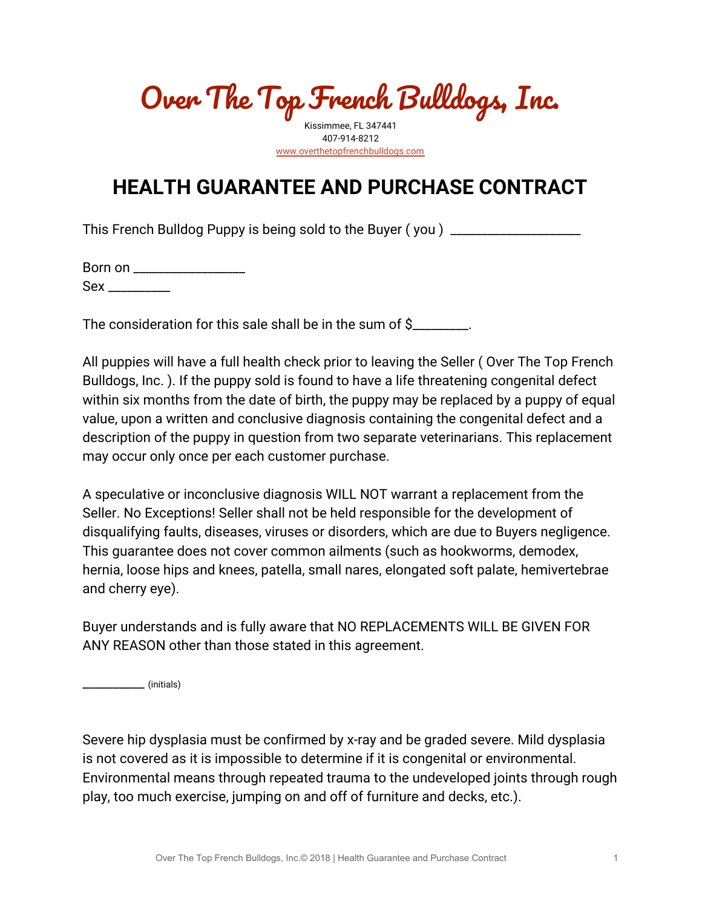Over The Top French Bulldogs, Inc.

Kissimmee, FL 347441 407-914-8212 [www.overthetopfrenchbulldogs.com](http://www.overthetopbulldogs.com/)

## **HEALTH GUARANTEE AND PURCHASE CONTRACT**

This French Bulldog Puppy is being sold to the Buyer (you) \_\_\_\_\_\_\_\_\_\_\_\_\_\_\_\_\_\_\_\_\_

|          | Born on ___________ |
|----------|---------------------|
| $Sex __$ |                     |

The consideration for this sale shall be in the sum of \$\_\_\_\_\_\_\_\_.

All puppies will have a full health check prior to leaving the Seller ( Over The Top French Bulldogs, Inc. ). If the puppy sold is found to have a life threatening congenital defect within six months from the date of birth, the puppy may be replaced by a puppy of equal value, upon a written and conclusive diagnosis containing the congenital defect and a description of the puppy in question from two separate veterinarians. This replacement may occur only once per each customer purchase.

A speculative or inconclusive diagnosis WILL NOT warrant a replacement from the Seller. No Exceptions! Seller shall not be held responsible for the development of disqualifying faults, diseases, viruses or disorders, which are due to Buyers negligence. This guarantee does not cover common ailments (such as hookworms, demodex, hernia, loose hips and knees, patella, small nares, elongated soft palate, hemivertebrae and cherry eye).

Buyer understands and is fully aware that NO REPLACEMENTS WILL BE GIVEN FOR ANY REASON other than those stated in this agreement.

\_\_\_\_\_\_\_\_\_\_ (initials)

Severe hip dysplasia must be confirmed by x-ray and be graded severe. Mild dysplasia is not covered as it is impossible to determine if it is congenital or environmental. Environmental means through repeated trauma to the undeveloped joints through rough play, too much exercise, jumping on and off of furniture and decks, etc.).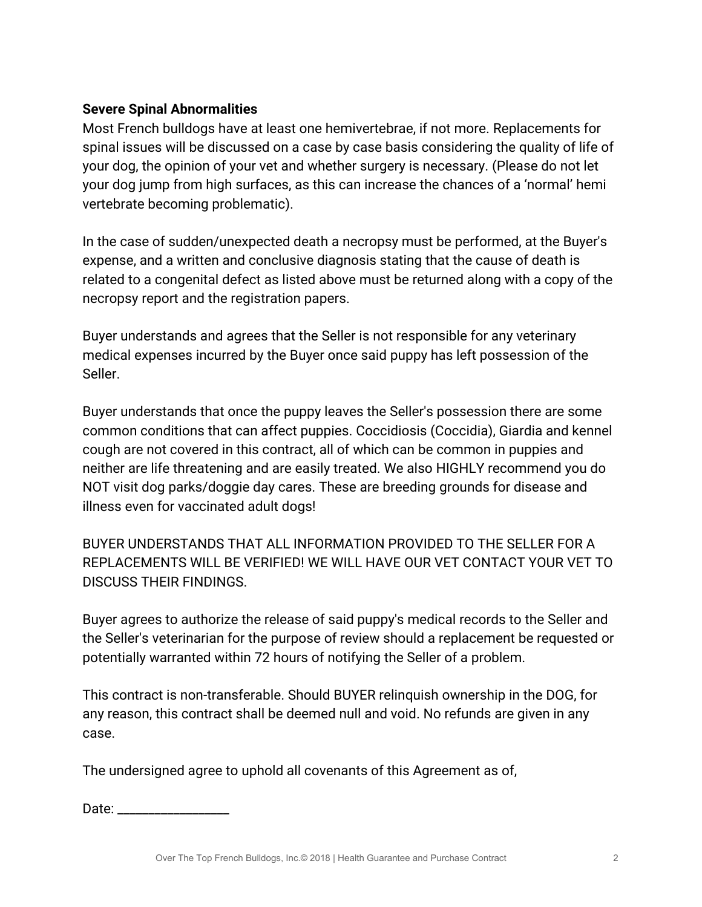## **Severe Spinal Abnormalities**

Most French bulldogs have at least one hemivertebrae, if not more. Replacements for spinal issues will be discussed on a case by case basis considering the quality of life of your dog, the opinion of your vet and whether surgery is necessary. (Please do not let your dog jump from high surfaces, as this can increase the chances of a 'normal' hemi vertebrate becoming problematic).

In the case of sudden/unexpected death a necropsy must be performed, at the Buyer's expense, and a written and conclusive diagnosis stating that the cause of death is related to a congenital defect as listed above must be returned along with a copy of the necropsy report and the registration papers.

Buyer understands and agrees that the Seller is not responsible for any veterinary medical expenses incurred by the Buyer once said puppy has left possession of the Seller.

Buyer understands that once the puppy leaves the Seller's possession there are some common conditions that can affect puppies. Coccidiosis (Coccidia), Giardia and kennel cough are not covered in this contract, all of which can be common in puppies and neither are life threatening and are easily treated. We also HIGHLY recommend you do NOT visit dog parks/doggie day cares. These are breeding grounds for disease and illness even for vaccinated adult dogs!

BUYER UNDERSTANDS THAT ALL INFORMATION PROVIDED TO THE SELLER FOR A REPLACEMENTS WILL BE VERIFIED! WE WILL HAVE OUR VET CONTACT YOUR VET TO DISCUSS THEIR FINDINGS.

Buyer agrees to authorize the release of said puppy's medical records to the Seller and the Seller's veterinarian for the purpose of review should a replacement be requested or potentially warranted within 72 hours of notifying the Seller of a problem.

This contract is non-transferable. Should BUYER relinquish ownership in the DOG, for any reason, this contract shall be deemed null and void. No refunds are given in any case.

The undersigned agree to uphold all covenants of this Agreement as of,

Date:  $\Box$